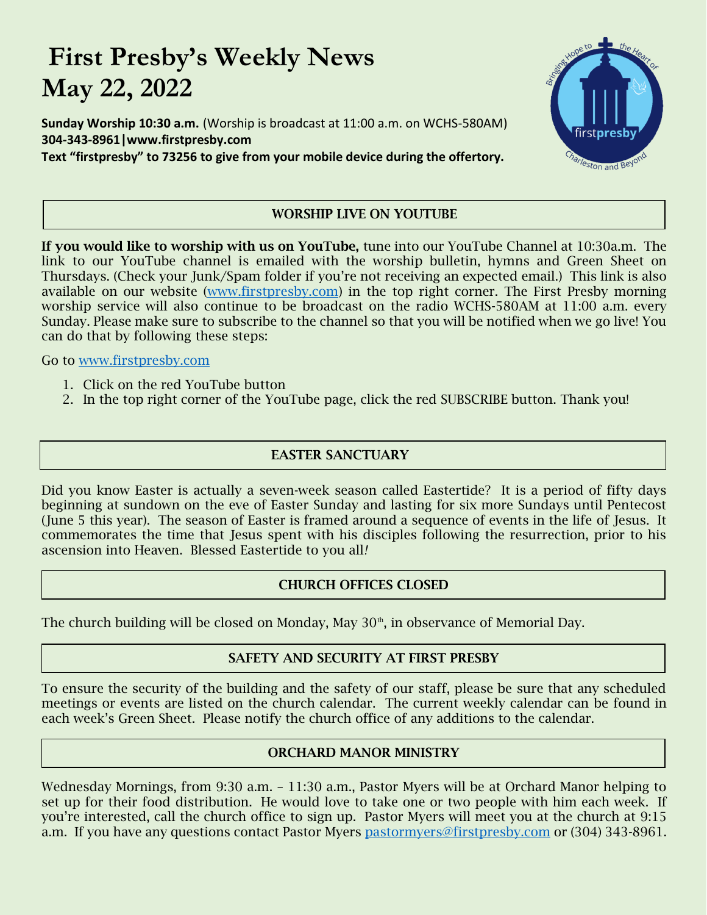# **First Presby's Weekly News May 22, 2022**

**Sunday Worship 10:30 a.m.** (Worship is broadcast at 11:00 a.m. on WCHS-580AM) **304-343-8961|www.firstpresby.com Text "firstpresby" to 73256 to give from your mobile device during the offertory.**



# **WORSHIP LIVE ON YOUTUBE**

**If you would like to worship with us on YouTube,** tune into our YouTube Channel at 10:30a.m. The link to our YouTube channel is emailed with the worship bulletin, hymns and Green Sheet on Thursdays. (Check your Junk/Spam folder if you're not receiving an expected email.) This link is also available on our website [\(www.firstpresby.com\)](http://www.firstpresby.com/) in the top right corner. The First Presby morning worship service will also continue to be broadcast on the radio WCHS-580AM at 11:00 a.m. every Sunday. Please make sure to subscribe to the channel so that you will be notified when we go live! You can do that by following these steps:

Go to [www.firstpresby.com](http://www.firstpresby.com/)

- 1. Click on the red YouTube button
- 2. In the top right corner of the YouTube page, click the red SUBSCRIBE button. Thank you!

# **EASTER SANCTUARY**

Did you know Easter is actually a seven-week season called Eastertide? It is a period of fifty days beginning at sundown on the eve of Easter Sunday and lasting for six more Sundays until Pentecost (June 5 this year). The season of Easter is framed around a sequence of events in the life of Jesus. It commemorates the time that Jesus spent with his disciples following the resurrection, prior to his ascension into Heaven. Blessed Eastertide to you all*!*

# **CHURCH OFFICES CLOSED**

The church building will be closed on Monday, May  $30<sup>th</sup>$ , in observance of Memorial Day.

# **SAFETY AND SECURITY AT FIRST PRESBY**

To ensure the security of the building and the safety of our staff, please be sure that any scheduled meetings or events are listed on the church calendar. The current weekly calendar can be found in each week's Green Sheet. Please notify the church office of any additions to the calendar.

# **ORCHARD MANOR MINISTRY**

Wednesday Mornings, from 9:30 a.m. – 11:30 a.m., Pastor Myers will be at Orchard Manor helping to set up for their food distribution. He would love to take one or two people with him each week. If you're interested, call the church office to sign up. Pastor Myers will meet you at the church at 9:15 a.m. If you have any questions contact Pastor Myers [pastormyers@firstpresby.com](mailto:pastormyers@firstpresby.com) or (304) 343-8961.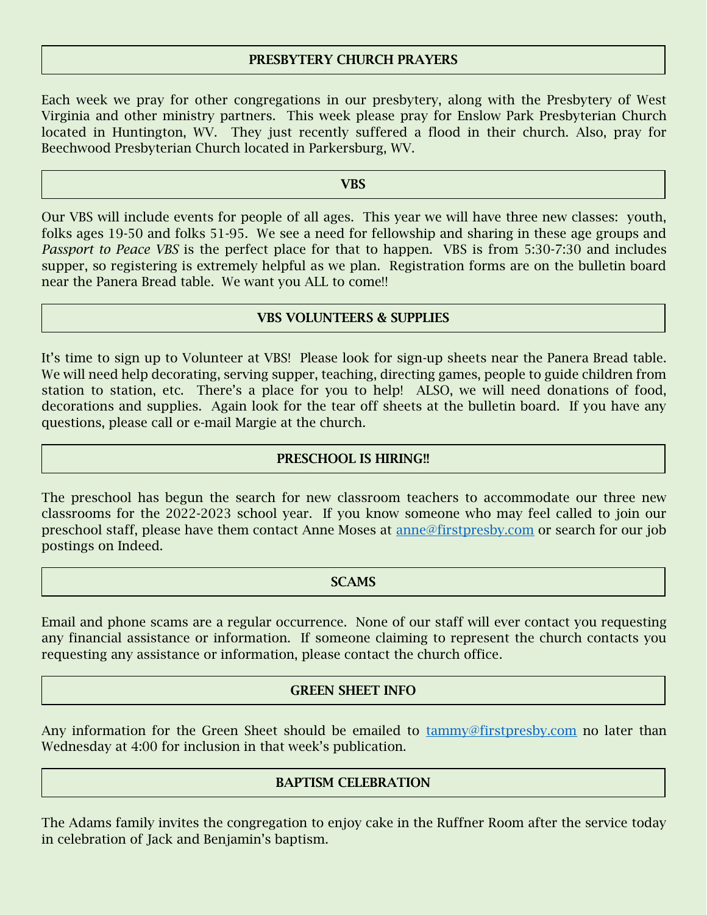# **PRESBYTERY CHURCH PRAYERS**

Each week we pray for other congregations in our presbytery, along with the Presbytery of West Virginia and other ministry partners. This week please pray for Enslow Park Presbyterian Church located in Huntington, WV. They just recently suffered a flood in their church. Also, pray for Beechwood Presbyterian Church located in Parkersburg, WV.

### **VBS**

Our VBS will include events for people of all ages. This year we will have three new classes: youth, folks ages 19-50 and folks 51-95. We see a need for fellowship and sharing in these age groups and *Passport to Peace VBS* is the perfect place for that to happen. VBS is from 5:30-7:30 and includes supper, so registering is extremely helpful as we plan. Registration forms are on the bulletin board near the Panera Bread table. We want you ALL to come!!

## **VBS VOLUNTEERS & SUPPLIES**

It's time to sign up to Volunteer at VBS! Please look for sign-up sheets near the Panera Bread table. We will need help decorating, serving supper, teaching, directing games, people to guide children from station to station, etc. There's a place for you to help! ALSO, we will need donations of food, decorations and supplies. Again look for the tear off sheets at the bulletin board. If you have any questions, please call or e-mail Margie at the church.

# **PRESCHOOL IS HIRING!!**

The preschool has begun the search for new classroom teachers to accommodate our three new classrooms for the 2022-2023 school year. If you know someone who may feel called to join our preschool staff, please have them contact Anne Moses at [anne@firstpresby.com](mailto:anne@firstpresby.com) or search for our job postings on Indeed.

## **SCAMS**

Email and phone scams are a regular occurrence. None of our staff will ever contact you requesting any financial assistance or information. If someone claiming to represent the church contacts you requesting any assistance or information, please contact the church office.

## **GREEN SHEET INFO**

Any information for the Green Sheet should be emailed to [tammy@firstpresby.com](mailto:tammy@firstpresby.com) no later than Wednesday at 4:00 for inclusion in that week's publication.

# **BAPTISM CELEBRATION**

The Adams family invites the congregation to enjoy cake in the Ruffner Room after the service today in celebration of Jack and Benjamin's baptism.